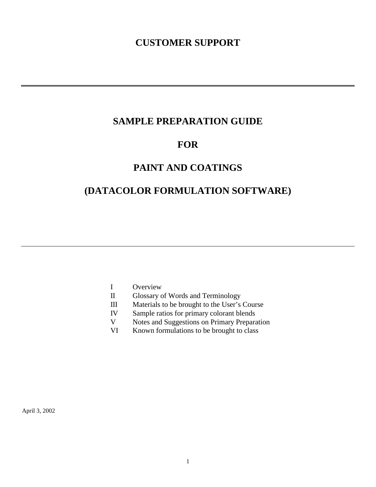# **CUSTOMER SUPPORT**

# **SAMPLE PREPARATION GUIDE**

# **FOR**

# **PAINT AND COATINGS**

# **(DATACOLOR FORMULATION SOFTWARE)**

- I Overview
- II Glossary of Words and Terminology
- III Materials to be brought to the User's Course
- IV Sample ratios for primary colorant blends
- V Notes and Suggestions on Primary Preparation
- VI Known formulations to be brought to class

April 3, 2002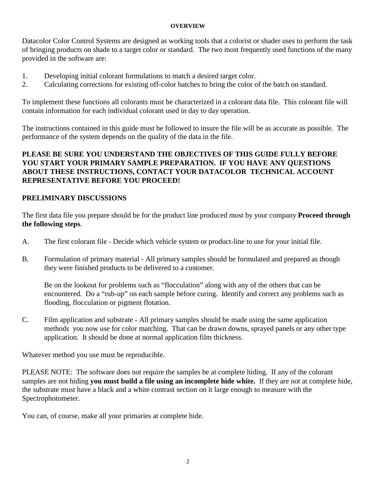#### **OVERVIEW**

Datacolor Color Control Systems are designed as working tools that a colorist or shader uses to perform the task of bringing products on shade to a target color or standard. The two most frequently used functions of the many provided in the software are:

- 1. Developing initial colorant formulations to match a desired target color.
- 2. Calculating corrections for existing off-color batches to bring the color of the batch on standard.

To implement these functions all colorants must be characterized in a colorant data file. This colorant file will contain information for each individual colorant used in day to day operation.

The instructions contained in this guide must be followed to insure the file will be as accurate as possible. The performance of the system depends on the quality of the data in the file.

# **PLEASE BE SURE YOU UNDERSTAND THE OBJECTIVES OF THIS GUIDE FULLY BEFORE YOU START YOUR PRIMARY SAMPLE PREPARATION. IF YOU HAVE ANY QUESTIONS ABOUT THESE INSTRUCTIONS, CONTACT YOUR DATACOLOR TECHNICAL ACCOUNT REPRESENTATIVE BEFORE YOU PROCEED!**

# **PRELIMINARY DISCUSSIONS**

The first data file you prepare should be for the product line produced most by your company **Proceed through the following steps**.

- A. The first colorant file Decide which vehicle system or product-line to use for your initial file.
- B. Formulation of primary material All primary samples should be formulated and prepared as though they were finished products to be delivered to a customer.

Be on the lookout for problems such as "flocculation" along with any of the others that can be encountered. Do a "rub-up" on each sample before curing. Identify and correct any problems such as flooding, flocculation or pigment flotation.

C. Film application and substrate - All primary samples should be made using the same application methods you now use for color matching. That can be drawn downs, sprayed panels or any other type application. It should be done at normal application film thickness.

Whatever method you use must be reproducible.

PLEASE NOTE: The software does not require the samples be at complete hiding. If any of the colorant samples are not hiding **you must build a file using an incomplete hide white.** If they are not at complete hide, the substrate must have a black and a white contrast section on it large enough to measure with the Spectrophotometer.

You can, of course, make all your primaries at complete hide.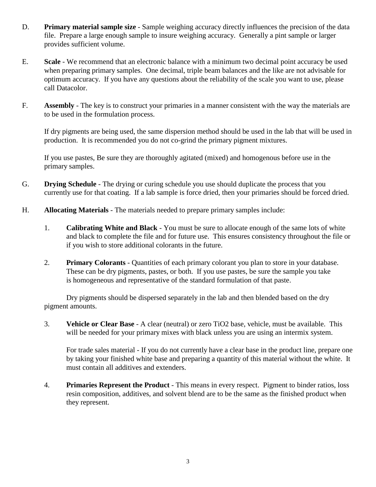- D. **Primary material sample size** Sample weighing accuracy directly influences the precision of the data file. Prepare a large enough sample to insure weighing accuracy. Generally a pint sample or larger provides sufficient volume.
- E. **Scale** We recommend that an electronic balance with a minimum two decimal point accuracy be used when preparing primary samples. One decimal, triple beam balances and the like are not advisable for optimum accuracy. If you have any questions about the reliability of the scale you want to use, please call Datacolor.
- F. **Assembly**  The key is to construct your primaries in a manner consistent with the way the materials are to be used in the formulation process.

 If dry pigments are being used, the same dispersion method should be used in the lab that will be used in production. It is recommended you do not co-grind the primary pigment mixtures.

 If you use pastes, Be sure they are thoroughly agitated (mixed) and homogenous before use in the primary samples.

- G. **Drying Schedule** The drying or curing schedule you use should duplicate the process that you currently use for that coating. If a lab sample is force dried, then your primaries should be forced dried.
- H. **Allocating Materials** The materials needed to prepare primary samples include:
	- 1. **Calibrating White and Black** You must be sure to allocate enough of the same lots of white and black to complete the file and for future use. This ensures consistency throughout the file or if you wish to store additional colorants in the future.
	- 2. **Primary Colorants** Quantities of each primary colorant you plan to store in your database. These can be dry pigments, pastes, or both. If you use pastes, be sure the sample you take is homogeneous and representative of the standard formulation of that paste.

 Dry pigments should be dispersed separately in the lab and then blended based on the dry pigment amounts.

 3. **Vehicle or Clear Base** - A clear (neutral) or zero TiO2 base, vehicle, must be available. This will be needed for your primary mixes with black unless you are using an intermix system.

For trade sales material - If you do not currently have a clear base in the product line, prepare one by taking your finished white base and preparing a quantity of this material without the white. It must contain all additives and extenders.

4. **Primaries Represent the Product** - This means in every respect. Pigment to binder ratios, loss resin composition, additives, and solvent blend are to be the same as the finished product when they represent.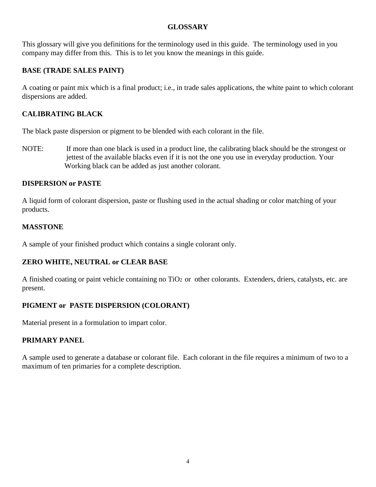## **GLOSSARY**

This glossary will give you definitions for the terminology used in this guide. The terminology used in you company may differ from this. This is to let you know the meanings in this guide.

# **BASE (TRADE SALES PAINT)**

A coating or paint mix which is a final product; i.e., in trade sales applications, the white paint to which colorant dispersions are added.

# **CALIBRATING BLACK**

The black paste dispersion or pigment to be blended with each colorant in the file.

NOTE: If more than one black is used in a product line, the calibrating black should be the strongest or jettest of the available blacks even if it is not the one you use in everyday production. Your Working black can be added as just another colorant.

# **DISPERSION or PASTE**

A liquid form of colorant dispersion, paste or flushing used in the actual shading or color matching of your products.

# **MASSTONE**

A sample of your finished product which contains a single colorant only.

# **ZERO WHITE, NEUTRAL or CLEAR BASE**

A finished coating or paint vehicle containing no TiO<sub>2</sub> or other colorants. Extenders, driers, catalysts, etc. are present.

# **PIGMENT or PASTE DISPERSION (COLORANT)**

Material present in a formulation to impart color.

# **PRIMARY PANEL**

A sample used to generate a database or colorant file. Each colorant in the file requires a minimum of two to a maximum of ten primaries for a complete description.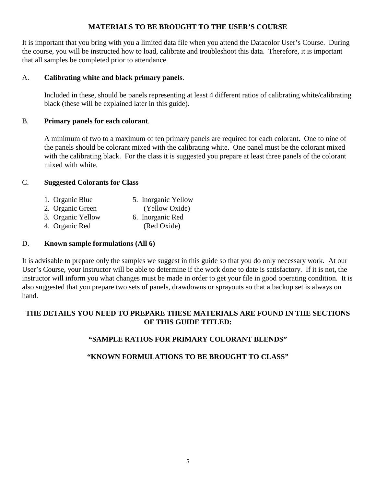## **MATERIALS TO BE BROUGHT TO THE USER'S COURSE**

It is important that you bring with you a limited data file when you attend the Datacolor User's Course. During the course, you will be instructed how to load, calibrate and troubleshoot this data. Therefore, it is important that all samples be completed prior to attendance.

## A. **Calibrating white and black primary panels**.

 Included in these, should be panels representing at least 4 different ratios of calibrating white/calibrating black (these will be explained later in this guide).

## B. **Primary panels for each colorant**.

 A minimum of two to a maximum of ten primary panels are required for each colorant. One to nine of the panels should be colorant mixed with the calibrating white. One panel must be the colorant mixed with the calibrating black. For the class it is suggested you prepare at least three panels of the colorant mixed with white.

## C. **Suggested Colorants for Class**

1. Organic Blue 5. Inorganic Yellow 2. Organic Green (Yellow Oxide) 3. Organic Yellow 6. Inorganic Red 4. Organic Red (Red Oxide)

### D. **Known sample formulations (All 6)**

It is advisable to prepare only the samples we suggest in this guide so that you do only necessary work. At our User's Course, your instructor will be able to determine if the work done to date is satisfactory. If it is not, the instructor will inform you what changes must be made in order to get your file in good operating condition. It is also suggested that you prepare two sets of panels, drawdowns or sprayouts so that a backup set is always on hand.

# **THE DETAILS YOU NEED TO PREPARE THESE MATERIALS ARE FOUND IN THE SECTIONS OF THIS GUIDE TITLED:**

## **"SAMPLE RATIOS FOR PRIMARY COLORANT BLENDS"**

# **"KNOWN FORMULATIONS TO BE BROUGHT TO CLASS"**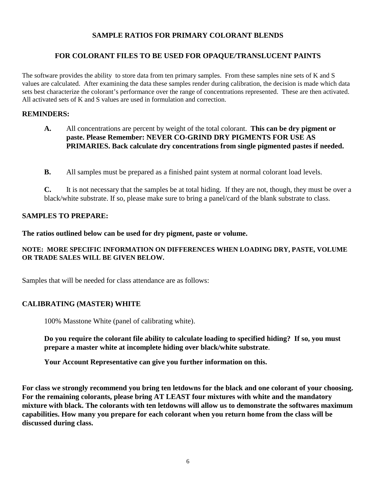### **SAMPLE RATIOS FOR PRIMARY COLORANT BLENDS**

### **FOR COLORANT FILES TO BE USED FOR OPAQUE/TRANSLUCENT PAINTS**

The software provides the ability to store data from ten primary samples. From these samples nine sets of K and S values are calculated. After examining the data these samples render during calibration, the decision is made which data sets best characterize the colorant's performance over the range of concentrations represented. These are then activated. All activated sets of K and S values are used in formulation and correction.

#### **REMINDERS:**

- **A.** All concentrations are percent by weight of the total colorant. **This can be dry pigment or paste. Please Remember: NEVER CO-GRIND DRY PIGMENTS FOR USE AS PRIMARIES. Back calculate dry concentrations from single pigmented pastes if needed.**
- **B.** All samples must be prepared as a finished paint system at normal colorant load levels.

**C.** It is not necessary that the samples be at total hiding. If they are not, though, they must be over a black/white substrate. If so, please make sure to bring a panel/card of the blank substrate to class.

#### **SAMPLES TO PREPARE:**

**The ratios outlined below can be used for dry pigment, paste or volume.** 

#### **NOTE: MORE SPECIFIC INFORMATION ON DIFFERENCES WHEN LOADING DRY, PASTE, VOLUME OR TRADE SALES WILL BE GIVEN BELOW.**

Samples that will be needed for class attendance are as follows:

#### **CALIBRATING (MASTER) WHITE**

100% Masstone White (panel of calibrating white).

**Do you require the colorant file ability to calculate loading to specified hiding? If so, you must prepare a master white at incomplete hiding over black/white substrate**.

**Your Account Representative can give you further information on this.** 

**For class we strongly recommend you bring ten letdowns for the black and one colorant of your choosing. For the remaining colorants, please bring AT LEAST four mixtures with white and the mandatory mixture with black. The colorants with ten letdowns will allow us to demonstrate the softwares maximum capabilities. How many you prepare for each colorant when you return home from the class will be discussed during class.**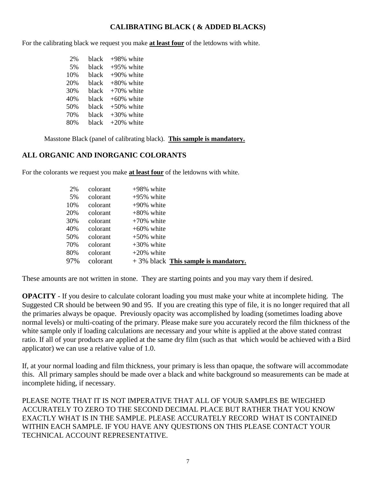# **CALIBRATING BLACK ( & ADDED BLACKS)**

For the calibrating black we request you make **at least four** of the letdowns with white.

 2% black +98% white 5% black +95% white  $10\%$  black  $+90\%$  white  $20\%$  black  $+80\%$  white  $30\%$  black  $+70\%$  white 40% black +60% white  $50\%$  black  $+50\%$  white  $70\%$  black  $+30\%$  white 80% black +20% white

Masstone Black (panel of calibrating black). **This sample is mandatory.**

## **ALL ORGANIC AND INORGANIC COLORANTS**

For the colorants we request you make **at least four** of the letdowns with white.

| 2%  | colorant | $+98\%$ white                          |
|-----|----------|----------------------------------------|
| 5%  | colorant | $+95\%$ white                          |
| 10% | colorant | $+90\%$ white                          |
| 20% | colorant | $+80\%$ white                          |
| 30% | colorant | $+70\%$ white                          |
| 40% | colorant | $+60\%$ white                          |
| 50% | colorant | $+50\%$ white                          |
| 70% | colorant | $+30\%$ white                          |
| 80% | colorant | $+20\%$ white                          |
| 97% | colorant | $+3\%$ black This sample is mandatory. |

These amounts are not written in stone. They are starting points and you may vary them if desired.

**OPACITY** - If you desire to calculate colorant loading you must make your white at incomplete hiding. The Suggested CR should be between 90 and 95. If you are creating this type of file, it is no longer required that all the primaries always be opaque. Previously opacity was accomplished by loading (sometimes loading above normal levels) or multi-coating of the primary. Please make sure you accurately record the film thickness of the white sample only if loading calculations are necessary and your white is applied at the above stated contrast ratio. If all of your products are applied at the same dry film (such as that which would be achieved with a Bird applicator) we can use a relative value of 1.0.

If, at your normal loading and film thickness, your primary is less than opaque, the software will accommodate this. All primary samples should be made over a black and white background so measurements can be made at incomplete hiding, if necessary.

PLEASE NOTE THAT IT IS NOT IMPERATIVE THAT ALL OF YOUR SAMPLES BE WIEGHED ACCURATELY TO ZERO TO THE SECOND DECIMAL PLACE BUT RATHER THAT YOU KNOW EXACTLY WHAT IS IN THE SAMPLE. PLEASE ACCURATELY RECORD WHAT IS CONTAINED WITHIN EACH SAMPLE. IF YOU HAVE ANY QUESTIONS ON THIS PLEASE CONTACT YOUR TECHNICAL ACCOUNT REPRESENTATIVE.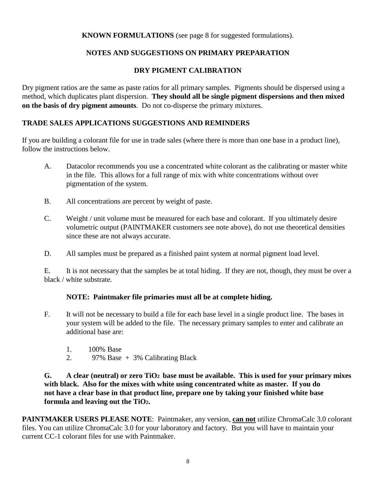## **KNOWN FORMULATIONS** (see page 8 for suggested formulations).

## **NOTES AND SUGGESTIONS ON PRIMARY PREPARATION**

#### **DRY PIGMENT CALIBRATION**

Dry pigment ratios are the same as paste ratios for all primary samples. Pigments should be dispersed using a method, which duplicates plant dispersion. **They should all be single pigment dispersions and then mixed on the basis of dry pigment amounts**. Do not co-disperse the primary mixtures.

#### **TRADE SALES APPLICATIONS SUGGESTIONS AND REMINDERS**

If you are building a colorant file for use in trade sales (where there is more than one base in a product line), follow the instructions below.

- A. Datacolor recommends you use a concentrated white colorant as the calibrating or master white in the file. This allows for a full range of mix with white concentrations without over pigmentation of the system.
- B. All concentrations are percent by weight of paste.
- C. Weight / unit volume must be measured for each base and colorant. If you ultimately desire volumetric output (PAINTMAKER customers see note above), do not use theoretical densities since these are not always accurate.
- D. All samples must be prepared as a finished paint system at normal pigment load level.

 E. It is not necessary that the samples be at total hiding. If they are not, though, they must be over a black / white substrate.

#### **NOTE: Paintmaker file primaries must all be at complete hiding.**

- F. It will not be necessary to build a file for each base level in a single product line. The bases in your system will be added to the file. The necessary primary samples to enter and calibrate an additional base are:
	- 1. 100% Base
	- 2. 97% Base  $+3\%$  Calibrating Black

### **G. A clear (neutral) or zero TiO2 base must be available. This is used for your primary mixes with black. Also for the mixes with white using concentrated white as master. If you do not have a clear base in that product line, prepare one by taking your finished white base formula and leaving out the TiO2.**

**PAINTMAKER USERS PLEASE NOTE**: Paintmaker, any version, **can not** utilize ChromaCalc 3.0 colorant files. You can utilize ChromaCalc 3.0 for your laboratory and factory. But you will have to maintain your current CC-1 colorant files for use with Paintmaker.